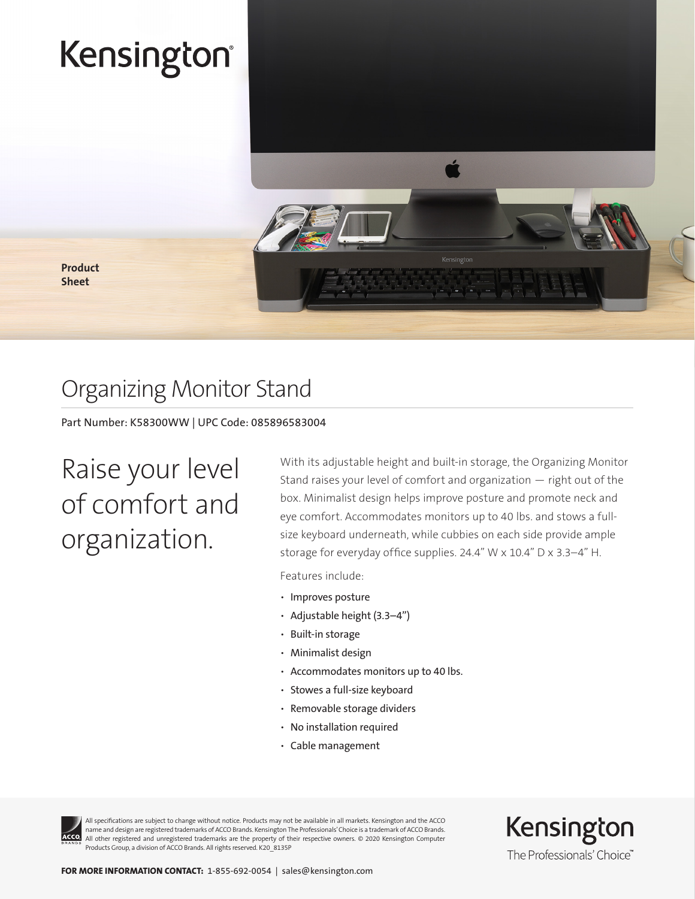# Kensington®



Product Sheet

### Organizing Monitor Stand

Part Number: K58300WW | UPC Code: 085896583004

Raise your level of comfort and organization.

With its adjustable height and built-in storage, the Organizing Monitor Stand raises your level of comfort and organization — right out of the box. Minimalist design helps improve posture and promote neck and eye comfort. Accommodates monitors up to 40 lbs. and stows a fullsize keyboard underneath, while cubbies on each side provide ample storage for everyday office supplies. 24.4" W x 10.4" D x 3.3–4" H.

Features include:

- Improves posture
- Adjustable height (3.3–4")
- Built-in storage
- Minimalist design
- Accommodates monitors up to 40 lbs.
- Stowes a full-size keyboard
- Removable storage dividers
- No installation required
- Cable management



All specifications are subject to change without notice. Products may not be available in all markets. Kensington and the ACCO name and design are registered trademarks of ACCO Brands. Kensington The Professionals' Choice is a trademark of ACCO Brands. All other registered and unregistered trademarks are the property of their respective owners. © 2020 Kensington Computer Products Group, a division of ACCO Brands. All rights reserved. K20\_8135P

Kensington The Professionals' Choice"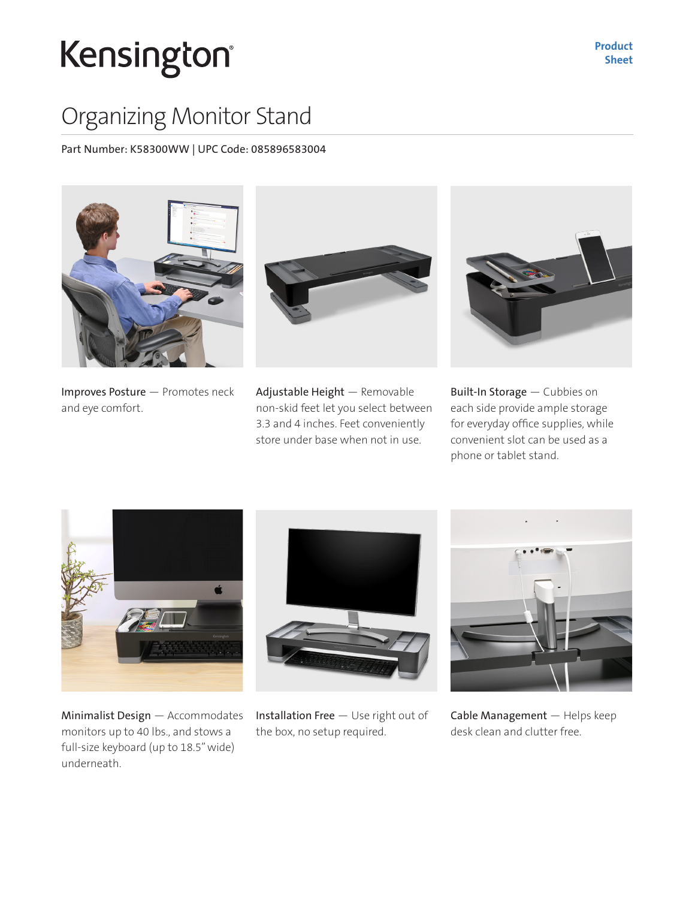# Kensington®

### Organizing Monitor Stand

Part Number: K58300WW | UPC Code: 085896583004



Improves Posture — Promotes neck and eye comfort.



Adjustable Height — Removable non-skid feet let you select between 3.3 and 4 inches. Feet conveniently store under base when not in use.



Built-In Storage — Cubbies on each side provide ample storage for everyday office supplies, while convenient slot can be used as a phone or tablet stand.



Minimalist Design — Accommodates monitors up to 40 lbs., and stows a full-size keyboard (up to 18.5" wide) underneath.



Installation Free — Use right out of the box, no setup required.



Cable Management — Helps keep desk clean and clutter free.